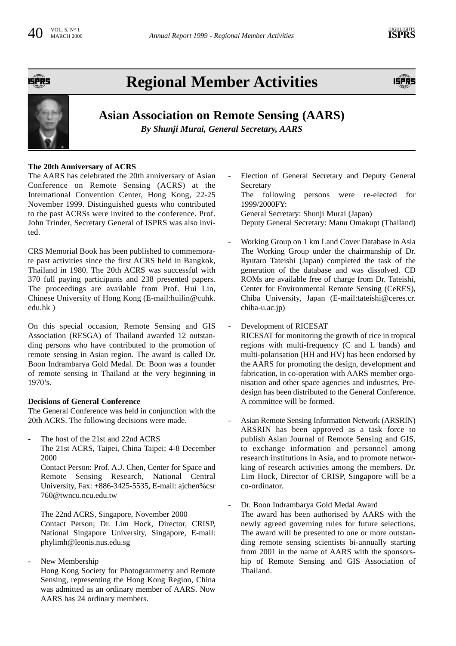

## **Regional Member Activities**





### **Asian Association on Remote Sensing (AARS)**

*By Shunji Murai, General Secretary, AARS*

#### **The 20th Anniversary of ACRS**

The AARS has celebrated the 20th anniversary of Asian Conference on Remote Sensing (ACRS) at the International Convention Center, Hong Kong, 22-25 November 1999. Distinguished guests who contributed to the past ACRSs were invited to the conference. Prof. John Trinder, Secretary General of ISPRS was also invited.

CRS Memorial Book has been published to commemorate past activities since the first ACRS held in Bangkok, Thailand in 1980. The 20th ACRS was successful with 370 full paying participants and 238 presented papers. The proceedings are available from Prof. Hui Lin, Chinese University of Hong Kong (E-mail:huilin@cuhk. edu.hk )

On this special occasion, Remote Sensing and GIS Association (RESGA) of Thailand awarded 12 outstanding persons who have contributed to the promotion of remote sensing in Asian region. The award is called Dr. Boon Indrambarya Gold Medal. Dr. Boon was a founder of remote sensing in Thailand at the very beginning in 1970's.

#### **Decisions of General Conference**

The General Conference was held in conjunction with the 20th ACRS. The following decisions were made.

The host of the 21st and 22nd ACRS

The 21st ACRS, Taipei, China Taipei; 4-8 December 2000

Contact Person: Prof. A.J. Chen, Center for Space and Remote Sensing Research, National Central University, Fax: +886-3425-5535, E-mail: ajchen%csr 760@twncu.ncu.edu.tw

The 22nd ACRS, Singapore, November 2000 Contact Person; Dr. Lim Hock, Director, CRISP, National Singapore University, Singapore, E-mail: phylimh@leonis.nus.edu.sg

New Membership

Hong Kong Society for Photogrammetry and Remote Sensing, representing the Hong Kong Region, China was admitted as an ordinary member of AARS. Now AARS has 24 ordinary members.

Election of General Secretary and Deputy General **Secretary** 

The following persons were re-elected for 1999/2000FY:

General Secretary: Shunji Murai (Japan) Deputy General Secretary: Manu Omakupt (Thailand)

- Working Group on 1 km Land Cover Database in Asia The Working Group under the chairmanship of Dr. Ryutaro Tateishi (Japan) completed the task of the generation of the database and was dissolved. CD ROMs are available free of charge from Dr. Tateishi, Center for Environmental Remote Sensing (CeRES), Chiba University, Japan (E-mail:tateishi@ceres.cr. chiba-u.ac.jp)
- Development of RICESAT

RICESAT for monitoring the growth of rice in tropical regions with multi-frequency (C and L bands) and multi-polarisation (HH and HV) has been endorsed by the AARS for promoting the design, development and fabrication, in co-operation with AARS member organisation and other space agencies and industries. Predesign has been distributed to the General Conference. A committee will be formed.

Asian Remote Sensing Information Network (ARSRIN) ARSRIN has been approved as a task force to publish Asian Journal of Remote Sensing and GIS, to exchange information and personnel among research institutions in Asia, and to promote networking of research activities among the members. Dr. Lim Hock, Director of CRISP, Singapore will be a co-ordinator.

Dr. Boon Indrambarya Gold Medal Award The award has been authorised by AARS with the newly agreed governing rules for future selections. The award will be presented to one or more outstanding remote sensing scientists bi-annually starting from 2001 in the name of AARS with the sponsorship of Remote Sensing and GIS Association of Thailand.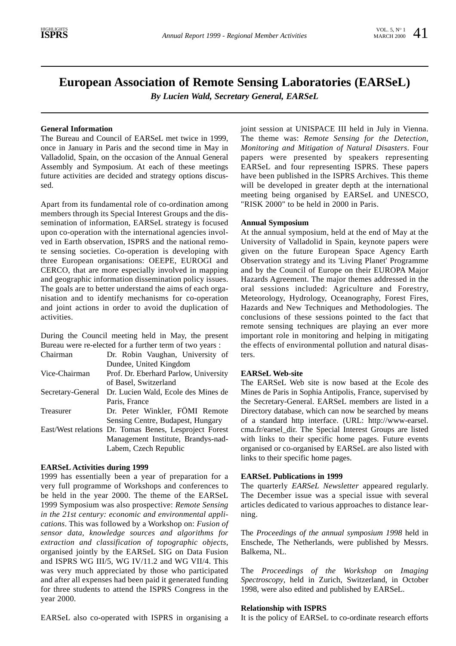## **European Association of Remote Sensing Laboratories (EARSeL)**

*By Lucien Wald, Secretary General, EARSeL*

#### **General Information**

The Bureau and Council of EARSeL met twice in 1999, once in January in Paris and the second time in May in Valladolid, Spain, on the occasion of the Annual General Assembly and Symposium. At each of these meetings future activities are decided and strategy options discussed.

Apart from its fundamental role of co-ordination among members through its Special Interest Groups and the dissemination of information, EARSeL strategy is focused upon co-operation with the international agencies involved in Earth observation, ISPRS and the national remote sensing societies. Co-operation is developing with three European organisations: OEEPE, EUROGI and CERCO, that are more especially involved in mapping and geographic information dissemination policy issues. The goals are to better understand the aims of each organisation and to identify mechanisms for co-operation and joint actions in order to avoid the duplication of activities.

During the Council meeting held in May, the present Bureau were re-elected for a further term of two years :

| Chairman          | Dr. Robin Vaughan, University of                       |
|-------------------|--------------------------------------------------------|
|                   | Dundee, United Kingdom                                 |
| Vice-Chairman     | Prof. Dr. Eberhard Parlow, University                  |
|                   | of Basel, Switzerland                                  |
| Secretary-General | Dr. Lucien Wald, Ecole des Mines de                    |
|                   | Paris, France                                          |
| Treasurer         | Dr. Peter Winkler, FÖMI Remote                         |
|                   | Sensing Centre, Budapest, Hungary                      |
|                   | East/West relations Dr. Tomas Benes, Lesproject Forest |
|                   | Management Institute, Brandys-nad-                     |
|                   | Labem, Czech Republic                                  |
|                   |                                                        |

#### **EARSeL Activities during 1999**

1999 has essentially been a year of preparation for a very full programme of Workshops and conferences to be held in the year 2000. The theme of the EARSeL 1999 Symposium was also prospective: *Remote Sensing in the 21st century: economic and environmental applications*. This was followed by a Workshop on: *Fusion of sensor data, knowledge sources and algorithms for extraction and classification of topographic objects*, organised jointly by the EARSeL SIG on Data Fusion and ISPRS WG III/5, WG IV/11.2 and WG VII/4. This was very much appreciated by those who participated and after all expenses had been paid it generated funding for three students to attend the ISPRS Congress in the year 2000.

joint session at UNISPACE III held in July in Vienna. The theme was: *Remote Sensing for the Detection, Monitoring and Mitigation of Natural Disasters*. Four papers were presented by speakers representing EARSeL and four representing ISPRS. These papers have been published in the ISPRS Archives. This theme will be developed in greater depth at the international meeting being organised by EARSeL and UNESCO, "RISK 2000" to be held in 2000 in Paris.

#### **Annual Symposium**

At the annual symposium, held at the end of May at the University of Valladolid in Spain, keynote papers were given on the future European Space Agency Earth Observation strategy and its 'Living Planet' Programme and by the Council of Europe on their EUROPA Major Hazards Agreement. The major themes addressed in the oral sessions included: Agriculture and Forestry, Meteorology, Hydrology, Oceanography, Forest Fires, Hazards and New Techniques and Methodologies. The conclusions of these sessions pointed to the fact that remote sensing techniques are playing an ever more important role in monitoring and helping in mitigating the effects of environmental pollution and natural disasters.

#### **EARSeL Web-site**

The EARSeL Web site is now based at the Ecole des Mines de Paris in Sophia Antipolis, France, supervised by the Secretary-General. EARSeL members are listed in a Directory database, which can now be searched by means of a standard http interface. (URL: http://www-earsel. cma.fr/earsel\_dir. The Special Interest Groups are listed with links to their specific home pages. Future events organised or co-organised by EARSeL are also listed with links to their specific home pages.

#### **EARSeL Publications in 1999**

The quarterly *EARSeL Newsletter* appeared regularly. The December issue was a special issue with several articles dedicated to various approaches to distance learning.

The *Proceedings of the annual symposium 1998* held in Enschede, The Netherlands, were published by Messrs. Balkema, NL.

The *Proceedings of the Workshop on Imaging Spectroscopy*, held in Zurich, Switzerland, in October 1998, were also edited and published by EARSeL.

#### **Relationship with ISPRS**

EARSeL also co-operated with ISPRS in organising a

It is the policy of EARSeL to co-ordinate research efforts